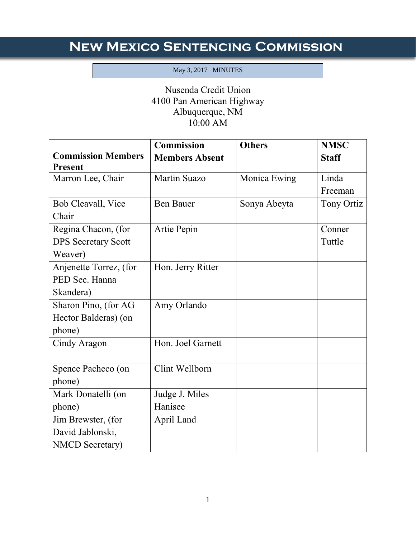## **New Mexico Sentencing Commission**

## May 3, 2017 MINUTES

Ī

## Nusenda Credit Union 4100 Pan American Highway Albuquerque, NM 10:00 AM

|                            | <b>Commission</b>     | <b>Others</b> | <b>NMSC</b>  |
|----------------------------|-----------------------|---------------|--------------|
| <b>Commission Members</b>  | <b>Members Absent</b> |               | <b>Staff</b> |
| <b>Present</b>             |                       |               |              |
| Marron Lee, Chair          | Martin Suazo          | Monica Ewing  | Linda        |
|                            |                       |               | Freeman      |
| Bob Cleavall, Vice         | <b>Ben Bauer</b>      | Sonya Abeyta  | Tony Ortiz   |
| Chair                      |                       |               |              |
| Regina Chacon, (for        | Artie Pepin           |               | Conner       |
| <b>DPS Secretary Scott</b> |                       |               | Tuttle       |
| Weaver)                    |                       |               |              |
| Anjenette Torrez, (for     | Hon. Jerry Ritter     |               |              |
| PED Sec. Hanna             |                       |               |              |
| Skandera)                  |                       |               |              |
| Sharon Pino, (for AG       | Amy Orlando           |               |              |
| Hector Balderas) (on       |                       |               |              |
| phone)                     |                       |               |              |
| Cindy Aragon               | Hon. Joel Garnett     |               |              |
|                            |                       |               |              |
| Spence Pacheco (on         | Clint Wellborn        |               |              |
| phone)                     |                       |               |              |
| Mark Donatelli (on         | Judge J. Miles        |               |              |
| phone)                     | Hanisee               |               |              |
| Jim Brewster, (for         | April Land            |               |              |
| David Jablonski,           |                       |               |              |
| <b>NMCD</b> Secretary)     |                       |               |              |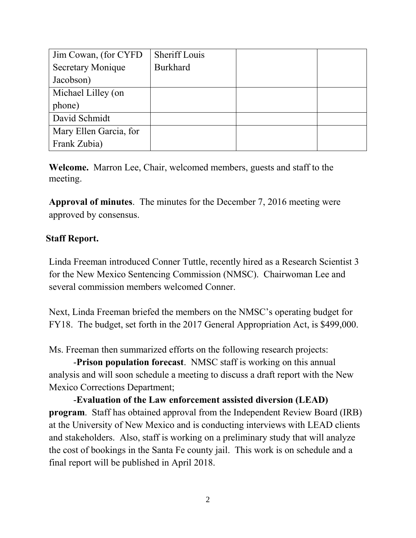| Jim Cowan, (for CYFD)    | Sheriff Louis   |  |
|--------------------------|-----------------|--|
| <b>Secretary Monique</b> | <b>Burkhard</b> |  |
| Jacobson)                |                 |  |
| Michael Lilley (on       |                 |  |
| phone)                   |                 |  |
| David Schmidt            |                 |  |
| Mary Ellen Garcia, for   |                 |  |
| Frank Zubia)             |                 |  |

**Welcome.** Marron Lee, Chair, welcomed members, guests and staff to the meeting.

**Approval of minutes**. The minutes for the December 7, 2016 meeting were approved by consensus.

## **Staff Report.**

Linda Freeman introduced Conner Tuttle, recently hired as a Research Scientist 3 for the New Mexico Sentencing Commission (NMSC). Chairwoman Lee and several commission members welcomed Conner.

Next, Linda Freeman briefed the members on the NMSC's operating budget for FY18. The budget, set forth in the 2017 General Appropriation Act, is \$499,000.

Ms. Freeman then summarized efforts on the following research projects:

-**Prison population forecast**. NMSC staff is working on this annual analysis and will soon schedule a meeting to discuss a draft report with the New Mexico Corrections Department;

-**Evaluation of the Law enforcement assisted diversion (LEAD) program**. Staff has obtained approval from the Independent Review Board (IRB) at the University of New Mexico and is conducting interviews with LEAD clients and stakeholders. Also, staff is working on a preliminary study that will analyze the cost of bookings in the Santa Fe county jail. This work is on schedule and a final report will be published in April 2018.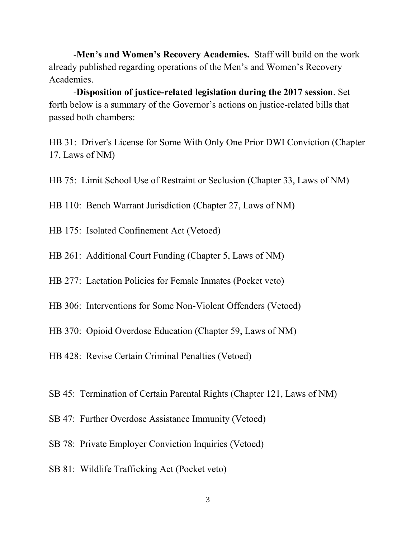-**Men's and Women's Recovery Academies.** Staff will build on the work already published regarding operations of the Men's and Women's Recovery Academies.

-**Disposition of justice-related legislation during the 2017 session**. Set forth below is a summary of the Governor's actions on justice-related bills that passed both chambers:

HB 31: Driver's License for Some With Only One Prior DWI Conviction (Chapter 17, Laws of NM)

HB 75: Limit School Use of Restraint or Seclusion (Chapter 33, Laws of NM)

HB 110: Bench Warrant Jurisdiction (Chapter 27, Laws of NM)

- HB 175: Isolated Confinement Act (Vetoed)
- HB 261: Additional Court Funding (Chapter 5, Laws of NM)
- HB 277: Lactation Policies for Female Inmates (Pocket veto)
- HB 306: Interventions for Some Non-Violent Offenders (Vetoed)
- HB 370: Opioid Overdose Education (Chapter 59, Laws of NM)
- HB 428: Revise Certain Criminal Penalties (Vetoed)
- SB 45: Termination of Certain Parental Rights (Chapter 121, Laws of NM)
- SB 47: Further Overdose Assistance Immunity (Vetoed)
- SB 78: Private Employer Conviction Inquiries (Vetoed)
- SB 81: Wildlife Trafficking Act (Pocket veto)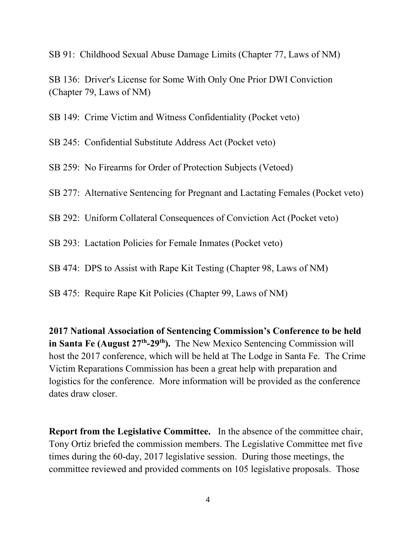SB 91: Childhood Sexual Abuse Damage Limits (Chapter 77, Laws of NM)

SB 136: Driver's License for Some With Only One Prior DWI Conviction (Chapter 79, Laws of NM)

SB 149: Crime Victim and Witness Confidentiality (Pocket veto)

SB 245: Confidential Substitute Address Act (Pocket veto)

SB 259: No Firearms for Order of Protection Subjects (Vetoed)

SB 277: Alternative Sentencing for Pregnant and Lactating Females (Pocket veto)

SB 292: Uniform Collateral Consequences of Conviction Act (Pocket veto)

SB 293: Lactation Policies for Female Inmates (Pocket veto)

SB 474: DPS to Assist with Rape Kit Testing (Chapter 98, Laws of NM)

SB 475: Require Rape Kit Policies (Chapter 99, Laws of NM)

**2017 National Association of Sentencing Commission's Conference to be held in Santa Fe (August 27th -29th).** The New Mexico Sentencing Commission will host the 2017 conference, which will be held at The Lodge in Santa Fe. The Crime Victim Reparations Commission has been a great help with preparation and logistics for the conference. More information will be provided as the conference dates draw closer.

**Report from the Legislative Committee.** In the absence of the committee chair, Tony Ortiz briefed the commission members. The Legislative Committee met five times during the 60-day, 2017 legislative session. During those meetings, the committee reviewed and provided comments on 105 legislative proposals. Those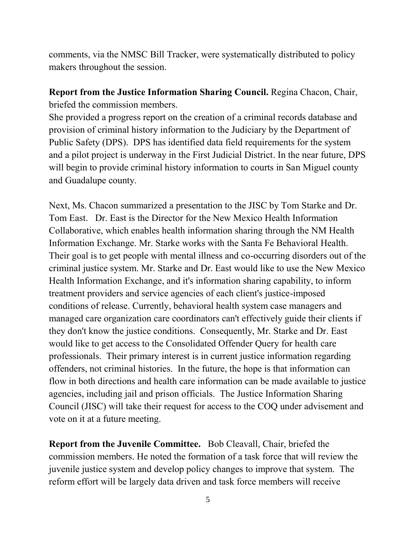comments, via the NMSC Bill Tracker, were systematically distributed to policy makers throughout the session.

**Report from the Justice Information Sharing Council.** Regina Chacon, Chair, briefed the commission members.

She provided a progress report on the creation of a criminal records database and provision of criminal history information to the Judiciary by the Department of Public Safety (DPS). DPS has identified data field requirements for the system and a pilot project is underway in the First Judicial District. In the near future, DPS will begin to provide criminal history information to courts in San Miguel county and Guadalupe county.

Next, Ms. Chacon summarized a presentation to the JISC by Tom Starke and Dr. Tom East. Dr. East is the Director for the New Mexico Health Information Collaborative, which enables health information sharing through the NM Health Information Exchange. Mr. Starke works with the Santa Fe Behavioral Health. Their goal is to get people with mental illness and co-occurring disorders out of the criminal justice system. Mr. Starke and Dr. East would like to use the New Mexico Health Information Exchange, and it's information sharing capability, to inform treatment providers and service agencies of each client's justice-imposed conditions of release. Currently, behavioral health system case managers and managed care organization care coordinators can't effectively guide their clients if they don't know the justice conditions. Consequently, Mr. Starke and Dr. East would like to get access to the Consolidated Offender Query for health care professionals. Their primary interest is in current justice information regarding offenders, not criminal histories. In the future, the hope is that information can flow in both directions and health care information can be made available to justice agencies, including jail and prison officials. The Justice Information Sharing Council (JISC) will take their request for access to the COQ under advisement and vote on it at a future meeting.

**Report from the Juvenile Committee.** Bob Cleavall, Chair, briefed the commission members. He noted the formation of a task force that will review the juvenile justice system and develop policy changes to improve that system. The reform effort will be largely data driven and task force members will receive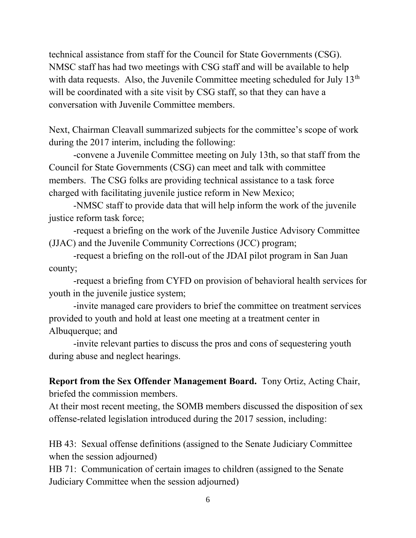technical assistance from staff for the Council for State Governments (CSG). NMSC staff has had two meetings with CSG staff and will be available to help with data requests. Also, the Juvenile Committee meeting scheduled for July  $13<sup>th</sup>$ will be coordinated with a site visit by CSG staff, so that they can have a conversation with Juvenile Committee members.

Next, Chairman Cleavall summarized subjects for the committee's scope of work during the 2017 interim, including the following:

-convene a Juvenile Committee meeting on July 13th, so that staff from the Council for State Governments (CSG) can meet and talk with committee members. The CSG folks are providing technical assistance to a task force charged with facilitating juvenile justice reform in New Mexico;

-NMSC staff to provide data that will help inform the work of the juvenile justice reform task force;

-request a briefing on the work of the Juvenile Justice Advisory Committee (JJAC) and the Juvenile Community Corrections (JCC) program;

-request a briefing on the roll-out of the JDAI pilot program in San Juan county;

-request a briefing from CYFD on provision of behavioral health services for youth in the juvenile justice system;

-invite managed care providers to brief the committee on treatment services provided to youth and hold at least one meeting at a treatment center in Albuquerque; and

-invite relevant parties to discuss the pros and cons of sequestering youth during abuse and neglect hearings.

**Report from the Sex Offender Management Board.** Tony Ortiz, Acting Chair, briefed the commission members.

At their most recent meeting, the SOMB members discussed the disposition of sex offense-related legislation introduced during the 2017 session, including:

HB 43: Sexual offense definitions (assigned to the Senate Judiciary Committee when the session adjourned)

HB 71: Communication of certain images to children (assigned to the Senate Judiciary Committee when the session adjourned)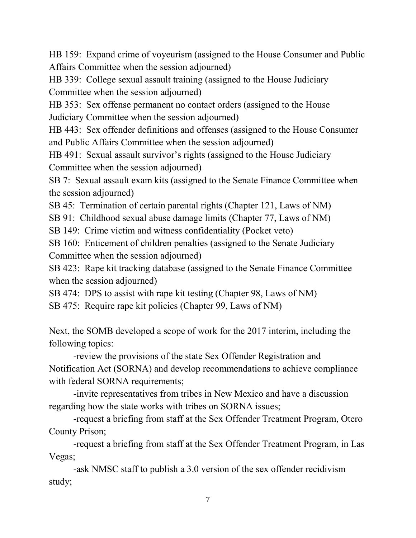HB 159: Expand crime of voyeurism (assigned to the House Consumer and Public Affairs Committee when the session adjourned)

HB 339: College sexual assault training (assigned to the House Judiciary Committee when the session adjourned)

HB 353: Sex offense permanent no contact orders (assigned to the House Judiciary Committee when the session adjourned)

HB 443: Sex offender definitions and offenses (assigned to the House Consumer and Public Affairs Committee when the session adjourned)

HB 491: Sexual assault survivor's rights (assigned to the House Judiciary Committee when the session adjourned)

SB 7: Sexual assault exam kits (assigned to the Senate Finance Committee when the session adjourned)

SB 45: Termination of certain parental rights (Chapter 121, Laws of NM)

SB 91: Childhood sexual abuse damage limits (Chapter 77, Laws of NM)

SB 149: Crime victim and witness confidentiality (Pocket veto)

SB 160: Enticement of children penalties (assigned to the Senate Judiciary Committee when the session adjourned)

SB 423: Rape kit tracking database (assigned to the Senate Finance Committee when the session adjourned)

SB 474: DPS to assist with rape kit testing (Chapter 98, Laws of NM)

SB 475: Require rape kit policies (Chapter 99, Laws of NM)

Next, the SOMB developed a scope of work for the 2017 interim, including the following topics:

-review the provisions of the state Sex Offender Registration and Notification Act (SORNA) and develop recommendations to achieve compliance with federal SORNA requirements;

-invite representatives from tribes in New Mexico and have a discussion regarding how the state works with tribes on SORNA issues;

-request a briefing from staff at the Sex Offender Treatment Program, Otero County Prison;

-request a briefing from staff at the Sex Offender Treatment Program, in Las Vegas;

-ask NMSC staff to publish a 3.0 version of the sex offender recidivism study;